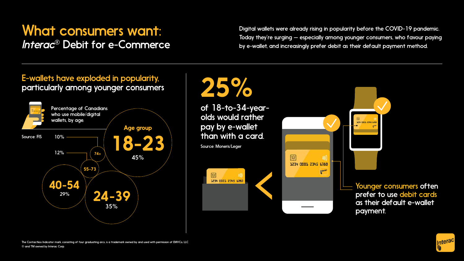### What consumers want: *Interac*® Debit for e-Commerce

Digital wallets were already rising in popularity before the COVID-19 pandemic. Today they're surging — especially among younger consumers, who favour paying by e-wallet, and increasingly prefer debit as their default payment method.

### E-wallets have exploded in popularity, particularly among younger consumers

of 18-to-34-yearolds would rather pay by e-wallet than with a card.





The Contactless Indicator mark, consisting of four graduating arcs, is a trademark owned by and used with permission of EMVCo, LLC ® and TM owned by Interac Corp.





# 25%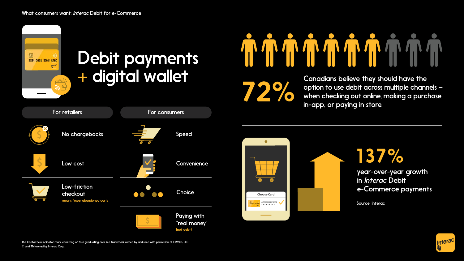#### What consumers want: *Interac* Debit for e-Commerce

Canadians believe they should have the option to use debit across multiple channels – when checking out online, making a purchase in-app, or paying in store.

> year-over-year growth in *Interac* Debit e-Commerce payments

Source: Interac



137%



The Contactless Indicator mark, consisting of four graduating arcs, is a trademark owned by and used with permission of EMVCo, LLC ® and TM owned by Interac Corp.

#